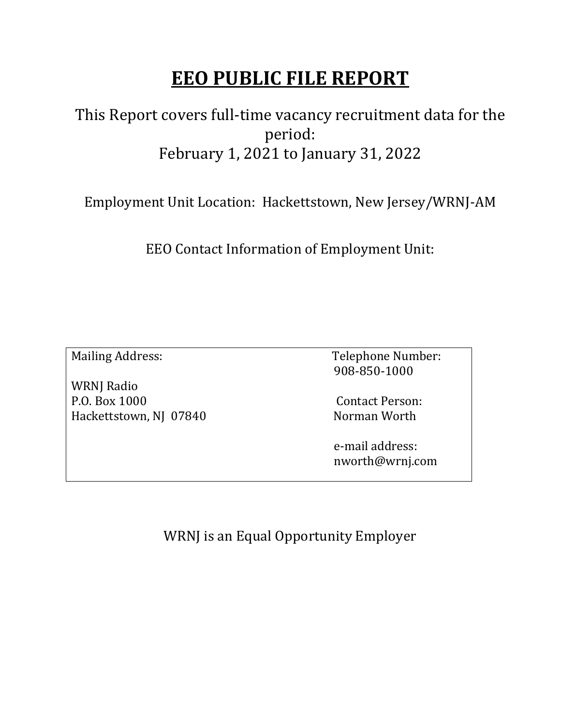# **EEO PUBLIC FILE REPORT**

#### This Report covers full-time vacancy recruitment data for the period: February 1, 2021 to January 31, 2022

Employment Unit Location: Hackettstown, New Jersey/WRNJ-AM

EEO Contact Information of Employment Unit:

WRNJ Radio P.O. Box 1000 Contact Person: Hackettstown, NJ 07840 Norman Worth

Mailing Address: Telephone Number: 908-850-1000

 e-mail address: nworth@wrnj.com

WRNJ is an Equal Opportunity Employer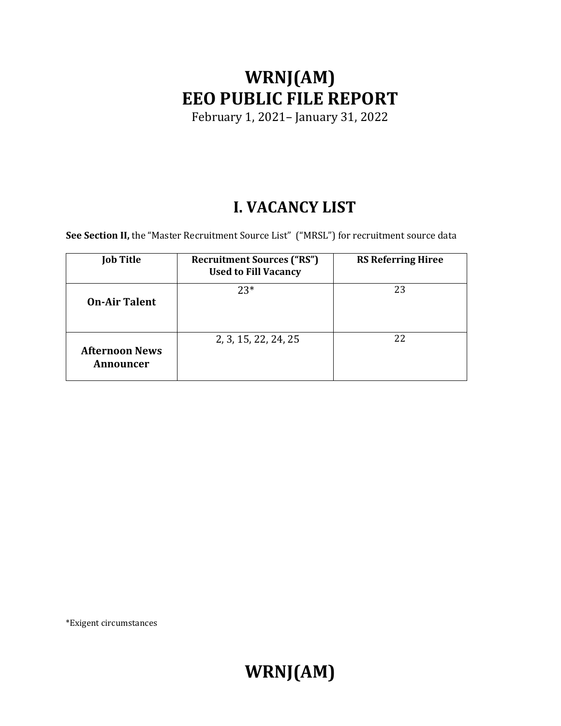# **WRNJ(AM) EEO PUBLIC FILE REPORT**

February 1, 2021– January 31, 2022

#### **I. VACANCY LIST**

See Section II, the "Master Recruitment Source List" ("MRSL") for recruitment source data

| <b>Job Title</b>                   | <b>Recruitment Sources ("RS")</b><br><b>Used to Fill Vacancy</b> | <b>RS Referring Hiree</b> |
|------------------------------------|------------------------------------------------------------------|---------------------------|
| <b>On-Air Talent</b>               | $23*$                                                            | 23                        |
| <b>Afternoon News</b><br>Announcer | 2, 3, 15, 22, 24, 25                                             | 22                        |

\*Exigent circumstances

**WRNJ(AM)**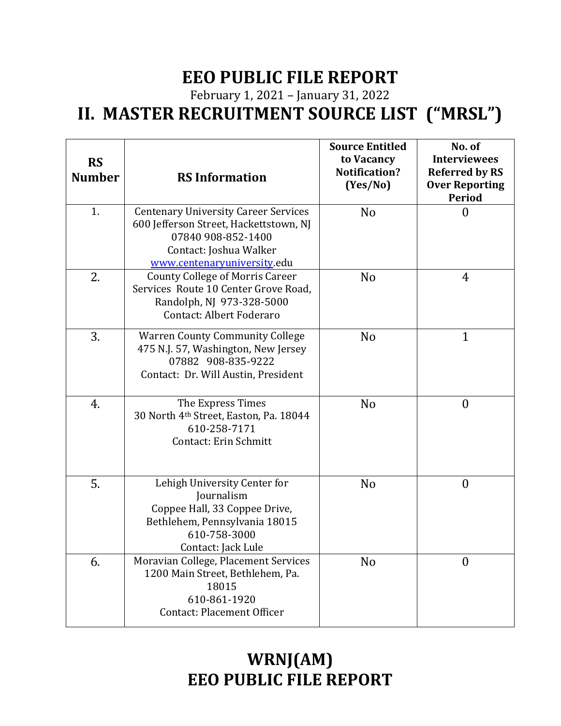### **EEO PUBLIC FILE REPORT**

February 1, 2021 – January 31, 2022 **II. MASTER RECRUITMENT SOURCE LIST ("MRSL")**

| <b>RS</b><br><b>Number</b> | <b>RS Information</b>                                                                                                                                                | <b>Source Entitled</b><br>to Vacancy<br><b>Notification?</b><br>(Yes/No) | No. of<br><b>Interviewees</b><br><b>Referred by RS</b><br><b>Over Reporting</b><br><b>Period</b> |
|----------------------------|----------------------------------------------------------------------------------------------------------------------------------------------------------------------|--------------------------------------------------------------------------|--------------------------------------------------------------------------------------------------|
| 1.                         | <b>Centenary University Career Services</b><br>600 Jefferson Street, Hackettstown, NJ<br>07840 908-852-1400<br>Contact: Joshua Walker<br>www.centenaryuniversity.edu | N <sub>0</sub>                                                           | $\overline{0}$                                                                                   |
| 2.                         | <b>County College of Morris Career</b><br>Services Route 10 Center Grove Road,<br>Randolph, NJ 973-328-5000<br>Contact: Albert Foderaro                              | N <sub>0</sub>                                                           | 4                                                                                                |
| 3.                         | <b>Warren County Community College</b><br>475 N.J. 57, Washington, New Jersey<br>07882 908-835-9222<br>Contact: Dr. Will Austin, President                           | N <sub>o</sub>                                                           | $\mathbf{1}$                                                                                     |
| 4.                         | The Express Times<br>30 North 4th Street, Easton, Pa. 18044<br>610-258-7171<br><b>Contact: Erin Schmitt</b>                                                          | N <sub>0</sub>                                                           | $\overline{0}$                                                                                   |
| 5.                         | Lehigh University Center for<br><b>Journalism</b><br>Coppee Hall, 33 Coppee Drive,<br>Bethlehem, Pennsylvania 18015<br>610-758-3000<br>Contact: Jack Lule            | N <sub>o</sub>                                                           | $\boldsymbol{0}$                                                                                 |
| 6.                         | Moravian College, Placement Services<br>1200 Main Street, Bethlehem, Pa.<br>18015<br>610-861-1920<br><b>Contact: Placement Officer</b>                               | N <sub>o</sub>                                                           | $\overline{0}$                                                                                   |

### **WRNJ(AM) EEO PUBLIC FILE REPORT**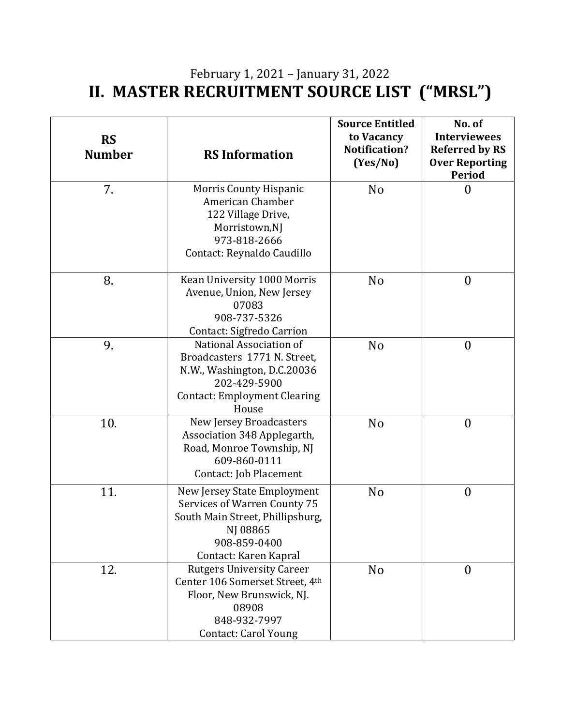#### February 1, 2021 – January 31, 2022 **II. MASTER RECRUITMENT SOURCE LIST ("MRSL")**

| <b>RS</b><br><b>Number</b> | <b>RS Information</b>                                                                                                                                    | <b>Source Entitled</b><br>to Vacancy<br>Notification?<br>(Yes/No) | No. of<br><b>Interviewees</b><br><b>Referred by RS</b><br><b>Over Reporting</b><br><b>Period</b> |
|----------------------------|----------------------------------------------------------------------------------------------------------------------------------------------------------|-------------------------------------------------------------------|--------------------------------------------------------------------------------------------------|
| 7.                         | <b>Morris County Hispanic</b><br>American Chamber<br>122 Village Drive,<br>Morristown,NJ<br>973-818-2666<br>Contact: Reynaldo Caudillo                   | N <sub>o</sub>                                                    | $\boldsymbol{0}$                                                                                 |
| 8.                         | Kean University 1000 Morris<br>Avenue, Union, New Jersey<br>07083<br>908-737-5326<br>Contact: Sigfredo Carrion                                           | N <sub>o</sub>                                                    | $\boldsymbol{0}$                                                                                 |
| 9.                         | National Association of<br>Broadcasters 1771 N. Street,<br>N.W., Washington, D.C.20036<br>202-429-5900<br><b>Contact: Employment Clearing</b><br>House   | N <sub>o</sub>                                                    | $\boldsymbol{0}$                                                                                 |
| 10.                        | New Jersey Broadcasters<br>Association 348 Applegarth,<br>Road, Monroe Township, NJ<br>609-860-0111<br>Contact: Job Placement                            | N <sub>o</sub>                                                    | $\boldsymbol{0}$                                                                                 |
| 11.                        | New Jersey State Employment<br>Services of Warren County 75<br>South Main Street, Phillipsburg,<br>NJ 08865<br>908-859-0400<br>Contact: Karen Kapral     | N <sub>o</sub>                                                    | $\boldsymbol{0}$                                                                                 |
| 12.                        | <b>Rutgers University Career</b><br>Center 106 Somerset Street, 4th<br>Floor, New Brunswick, NJ.<br>08908<br>848-932-7997<br><b>Contact: Carol Young</b> | N <sub>o</sub>                                                    | $\overline{0}$                                                                                   |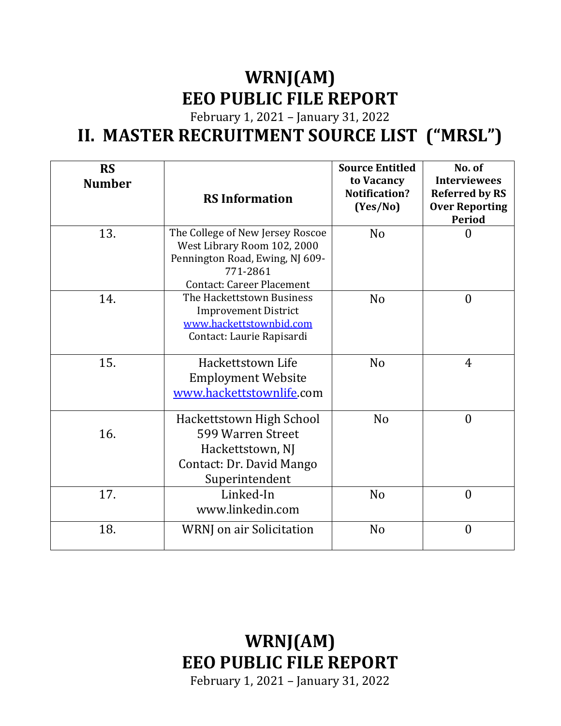# **WRNJ(AM) EEO PUBLIC FILE REPORT**

February 1, 2021 – January 31, 2022

### **II. MASTER RECRUITMENT SOURCE LIST ("MRSL")**

| <b>RS</b><br><b>Number</b> | <b>RS Information</b>                                                                                                                              | <b>Source Entitled</b><br>to Vacancy<br>Notification?<br>(Yes/No) | No. of<br><b>Interviewees</b><br><b>Referred by RS</b><br><b>Over Reporting</b><br><b>Period</b> |
|----------------------------|----------------------------------------------------------------------------------------------------------------------------------------------------|-------------------------------------------------------------------|--------------------------------------------------------------------------------------------------|
| 13.                        | The College of New Jersey Roscoe<br>West Library Room 102, 2000<br>Pennington Road, Ewing, NJ 609-<br>771-2861<br><b>Contact: Career Placement</b> | N <sub>o</sub>                                                    | $\Omega$                                                                                         |
| 14.                        | The Hackettstown Business<br><b>Improvement District</b><br>www.hackettstownbid.com<br>Contact: Laurie Rapisardi                                   | N <sub>o</sub>                                                    | $\theta$                                                                                         |
| 15.                        | Hackettstown Life<br><b>Employment Website</b><br>www.hackettstownlife.com                                                                         | N <sub>o</sub>                                                    | $\overline{4}$                                                                                   |
| 16.                        | Hackettstown High School<br>599 Warren Street<br>Hackettstown, NJ<br>Contact: Dr. David Mango<br>Superintendent                                    | N <sub>o</sub>                                                    | $\theta$                                                                                         |
| 17.                        | Linked-In<br>www.linkedin.com                                                                                                                      | N <sub>o</sub>                                                    | $\theta$                                                                                         |
| 18.                        | WRNJ on air Solicitation                                                                                                                           | N <sub>o</sub>                                                    | $\overline{0}$                                                                                   |

**WRNJ(AM) EEO PUBLIC FILE REPORT**

February 1, 2021 – January 31, 2022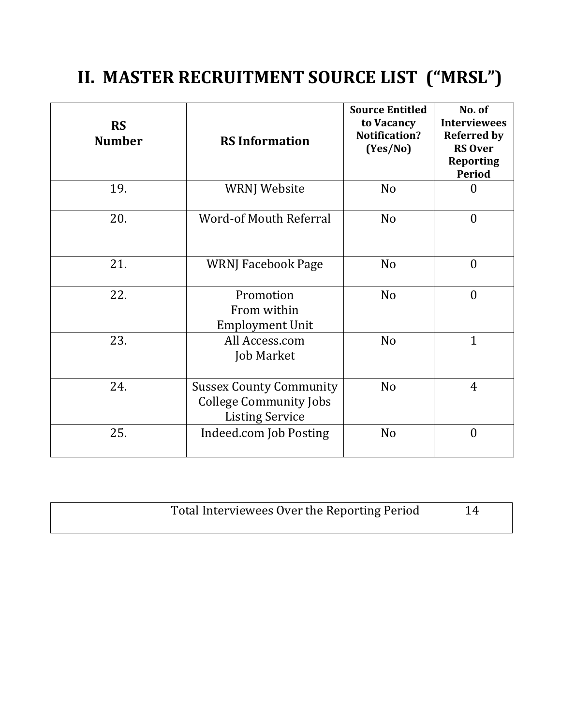# **II. MASTER RECRUITMENT SOURCE LIST ("MRSL")**

| <b>RS</b><br><b>Number</b> | <b>RS Information</b>                                                                     | <b>Source Entitled</b><br>to Vacancy<br>Notification?<br>(Yes/No) | No. of<br><b>Interviewees</b><br><b>Referred by</b><br><b>RS Over</b><br><b>Reporting</b><br><b>Period</b> |
|----------------------------|-------------------------------------------------------------------------------------------|-------------------------------------------------------------------|------------------------------------------------------------------------------------------------------------|
| 19.                        | <b>WRNJ Website</b>                                                                       | N <sub>o</sub>                                                    | $\theta$                                                                                                   |
| 20.                        | <b>Word-of Mouth Referral</b>                                                             | N <sub>o</sub>                                                    | $\overline{0}$                                                                                             |
| 21.                        | <b>WRNJ Facebook Page</b>                                                                 | N <sub>o</sub>                                                    | $\overline{0}$                                                                                             |
| 22.                        | Promotion<br>From within<br><b>Employment Unit</b>                                        | N <sub>o</sub>                                                    | $\overline{0}$                                                                                             |
| 23.                        | All Access.com<br><b>Job Market</b>                                                       | N <sub>o</sub>                                                    | $\mathbf{1}$                                                                                               |
| 24.                        | <b>Sussex County Community</b><br><b>College Community Jobs</b><br><b>Listing Service</b> | N <sub>o</sub>                                                    | $\overline{4}$                                                                                             |
| 25.                        | Indeed.com Job Posting                                                                    | N <sub>o</sub>                                                    | $\overline{0}$                                                                                             |

| Total Interviewees Over the Reporting Period | 14 |
|----------------------------------------------|----|
|                                              |    |